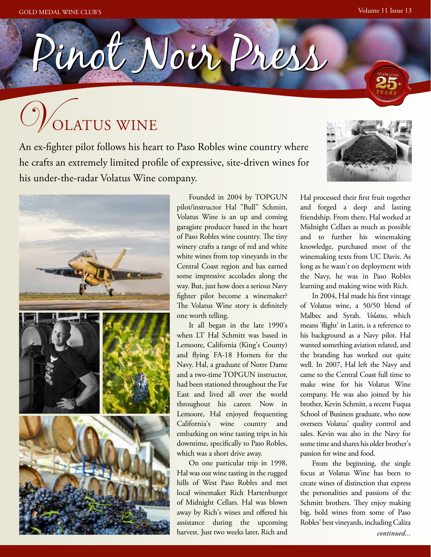

# /<br>Olatus wine

An ex-fighter pilot follows his heart to Paso Robles wine country where he crafts an extremely limited profile of expressive, site-driven wines for his under-the-radar Volatus Wine company.



Founded in 2004 by TOPGUN pilot/instructor Hal "Bull" Schmitt, Volatus Wine is an up and coming garagiste producer based in the heart of Paso Robles wine country. The tiny winery crafts a range of red and white white wines from top vineyards in the Central Coast region and has earned some impressive accolades along the way. But, just how does a serious Navy fighter pilot become a winemaker? The Volatus Wine story is definitely one worth telling.

It all began in the late 1990's when LT Hal Schmitt was based in Lemoore, California (King's County) and flying FA-18 Hornets for the Navy. Hal, a graduate of Notre Dame and a two-time TOPGUN instructor, had been stationed throughout the Far East and lived all over the world throughout his career. Now in Lemoore, Hal enjoyed frequenting California's wine country and embarking on wine tasting trips in his downtime, specifically to Paso Robles, which was a short drive away.

On one particular trip in 1998, Hal was out wine tasting in the rugged hills of West Paso Robles and met local winemaker Rich Hartenburger of Midnight Cellars. Hal was blown away by Rich's wines and offered his assistance during the upcoming harvest. Just two weeks later, Rich and



Hal processed their first fruit together and forged a deep and lasting friendship. From there, Hal worked at Midnight Cellars as much as possible and to further his winemaking knowledge, purchased most of the winemaking texts from UC Davis. As long as he wasn't on deployment with the Navy, he was in Paso Robles learning and making wine with Rich.

In 2004, Hal made his first vintage of Volatus wine, a 50/50 blend of Malbec and Syrah. *Volatus*, which means 'flight' in Latin, is a reference to his background as a Navy pilot. Hal wanted something aviation related, and the branding has worked out quite well. In 2007, Hal left the Navy and came to the Central Coast full time to make wine for his Volatus Wine company. He was also joined by his brother, Kevin Schmitt, a recent Fuqua School of Business graduate, who now oversees Volatus' quality control and sales. Kevin was also in the Navy for some time and shares his older brother's passion for wine and food.

From the beginning, the single focus at Volatus Wine has been to create wines of distinction that express the personalities and passions of the Schmitt brothers. They enjoy making big, bold wines from some of Paso Robles' best vineyards, including Caliza *continued...*